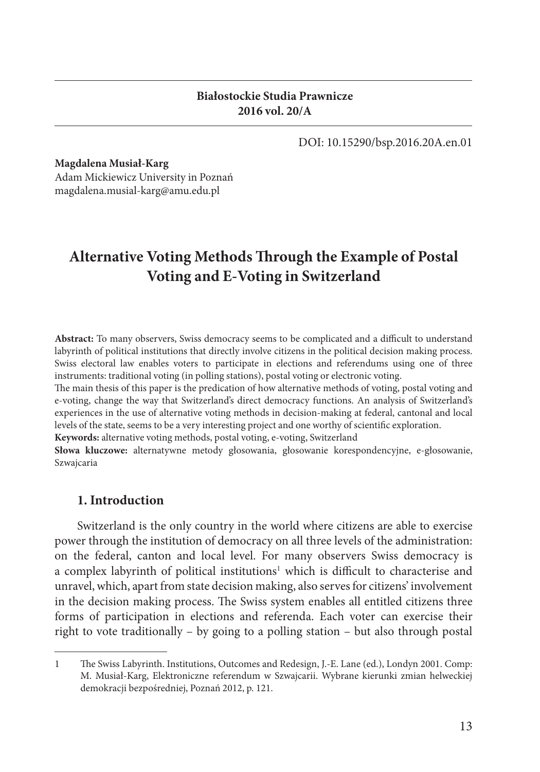#### **Białostockie Studia Prawnicze 2016 vol. 20/A**

DOI: 10.15290/bsp.2016.20A.en.01

**Magdalena Musiał-Karg** 

Adam Mickiewicz University in Poznań magdalena.musial-karg@amu.edu.pl

# Alternative Voting Methods Through the Example of Postal **Voting and E-Voting in Switzerland**

Abstract: To many observers, Swiss democracy seems to be complicated and a difficult to understand labyrinth of political institutions that directly involve citizens in the political decision making process. Swiss electoral law enables voters to participate in elections and referendums using one of three instruments: traditional voting (in polling stations), postal voting or electronic voting.

The main thesis of this paper is the predication of how alternative methods of voting, postal voting and e-voting, change the way that Switzerland's direct democracy functions. An analysis of Switzerland's experiences in the use of alternative voting methods in decision-making at federal, cantonal and local levels of the state, seems to be a very interesting project and one worthy of scientific exploration.

**Keywords:** alternative voting methods, postal voting, e-voting, Switzerland

**Słowa kluczowe:** alternatywne metody głosowania, głosowanie korespondencyjne, e-głosowanie, Szwajcaria

## **1. Introduction**

Switzerland is the only country in the world where citizens are able to exercise power through the institution of democracy on all three levels of the administration: on the federal, canton and local level. For many observers Swiss democracy is a complex labyrinth of political institutions<sup>1</sup> which is difficult to characterise and unravel, which, apart from state decision making, also serves for citizens' involvement in the decision making process. The Swiss system enables all entitled citizens three forms of participation in elections and referenda. Each voter can exercise their right to vote traditionally – by going to a polling station – but also through postal

<sup>1</sup> The Swiss Labyrinth. Institutions, Outcomes and Redesign, J.-E. Lane (ed.), Londyn 2001. Comp: M. Musiał-Karg, Elektroniczne referendum w Szwajcarii. Wybrane kierunki zmian helweckiej demokracji bezpośredniej, Poznań 2012, p. 121.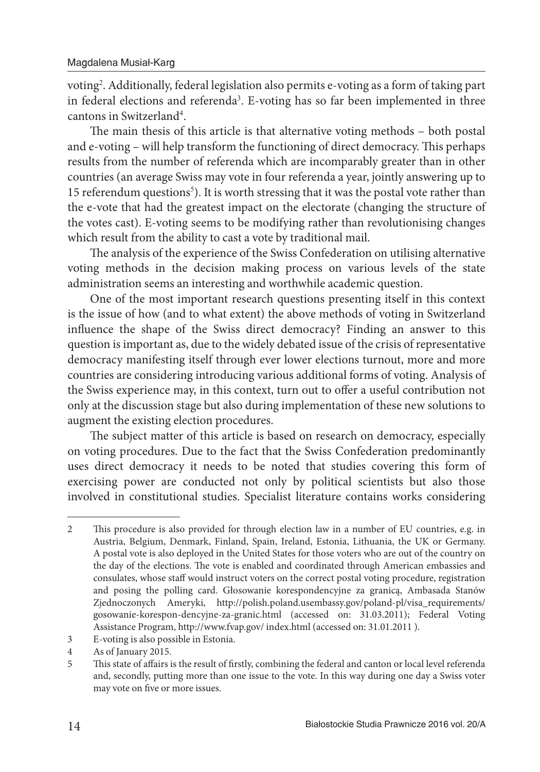voting<sup>2</sup> . Additionally, federal legislation also permits e-voting as a form of taking part in federal elections and referenda<sup>3</sup>. E-voting has so far been implemented in three cantons in Switzerland<sup>4</sup>.

The main thesis of this article is that alternative voting methods - both postal and e-voting – will help transform the functioning of direct democracy. This perhaps results from the number of referenda which are incomparably greater than in other countries (an average Swiss may vote in four referenda a year, jointly answering up to 15 referendum questions<sup>5</sup>). It is worth stressing that it was the postal vote rather than the e-vote that had the greatest impact on the electorate (changing the structure of the votes cast). E-voting seems to be modifying rather than revolutionising changes which result from the ability to cast a vote by traditional mail.

The analysis of the experience of the Swiss Confederation on utilising alternative voting methods in the decision making process on various levels of the state administration seems an interesting and worthwhile academic question.

One of the most important research questions presenting itself in this context is the issue of how (and to what extent) the above methods of voting in Switzerland influence the shape of the Swiss direct democracy? Finding an answer to this question is important as, due to the widely debated issue of the crisis of representative democracy manifesting itself through ever lower elections turnout, more and more countries are considering introducing various additional forms of voting. Analysis of the Swiss experience may, in this context, turn out to offer a useful contribution not only at the discussion stage but also during implementation of these new solutions to augment the existing election procedures.

The subject matter of this article is based on research on democracy, especially on voting procedures. Due to the fact that the Swiss Confederation predominantly uses direct democracy it needs to be noted that studies covering this form of exercising power are conducted not only by political scientists but also those involved in constitutional studies. Specialist literature contains works considering

<sup>2</sup> This procedure is also provided for through election law in a number of EU countries, e.g. in Austria, Belgium, Denmark, Finland, Spain, Ireland, Estonia, Lithuania, the UK or Germany. A postal vote is also deployed in the United States for those voters who are out of the country on the day of the elections. The vote is enabled and coordinated through American embassies and consulates, whose staff would instruct voters on the correct postal voting procedure, registration and posing the polling card. Głosowanie korespondencyjne za granicą, Ambasada Stanów Zjednoczonych Ameryki, http://polish.poland.usembassy.gov/poland-pl/visa\_requirements/ gosowanie-korespon-dencyjne-za-granic.html (accessed on: 31.03.2011); Federal Voting Assistance Program, http://www.fvap.gov/ index.html (accessed on: 31.01.2011 ).

<sup>3</sup> E-voting is also possible in Estonia.

<sup>4</sup> As of January 2015.

<sup>5</sup> This state of affairs is the result of firstly, combining the federal and canton or local level referenda and, secondly, putting more than one issue to the vote. In this way during one day a Swiss voter may vote on five or more issues.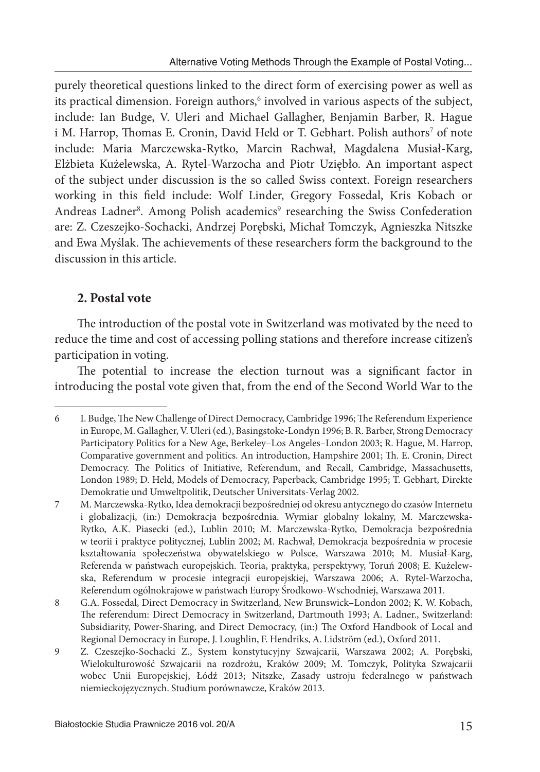purely theoretical questions linked to the direct form of exercising power as well as its practical dimension. Foreign authors,<sup>6</sup> involved in various aspects of the subject, include: Ian Budge, V. Uleri and Michael Gallagher, Benjamin Barber, R. Hague i M. Harrop, Thomas E. Cronin, David Held or T. Gebhart. Polish authors<sup>7</sup> of note include: Maria Marczewska-Rytko, Marcin Rachwał, Magdalena Musiał-Karg, Elżbieta Kużelewska, A. Rytel-Warzocha and Piotr Uziębło. An important aspect of the subject under discussion is the so called Swiss context. Foreign researchers working in this field include: Wolf Linder, Gregory Fossedal, Kris Kobach or Andreas Ladner<sup>8</sup>. Among Polish academics<sup>9</sup> researching the Swiss Confederation are: Z. Czeszejko-Sochacki, Andrzej Porębski, Michał Tomczyk, Agnieszka Nitszke and Ewa Myślak. The achievements of these researchers form the background to the discussion in this article.

## **2. Postal vote**

The introduction of the postal vote in Switzerland was motivated by the need to reduce the time and cost of accessing polling stations and therefore increase citizen's participation in voting.

The potential to increase the election turnout was a significant factor in introducing the postal vote given that, from the end of the Second World War to the

<sup>6</sup> I. Budge, The New Challenge of Direct Democracy, Cambridge 1996; The Referendum Experience in Europe, M. Gallagher, V. Uleri (ed.), Basingstoke-Londyn 1996; B. R. Barber, Strong Democracy Participatory Politics for a New Age, Berkeley–Los Angeles–London 2003; R. Hague, M. Harrop, Comparative government and politics. An introduction, Hampshire 2001; Th . E. Cronin, Direct Democracy. The Politics of Initiative, Referendum, and Recall, Cambridge, Massachusetts, London 1989; D. Held, Models of Democracy, Paperback, Cambridge 1995; T. Gebhart, Direkte Demokratie und Umweltpolitik, Deutscher Universitats-Verlag 2002.

<sup>7</sup> M. Marczewska-Rytko, Idea demokracji bezpośredniej od okresu antycznego do czasów Internetu i globalizacji, (in:) Demokracja bezpośrednia. Wymiar globalny lokalny, M. Marczewska-Rytko, A.K. Piasecki (ed.), Lublin 2010; M. Marczewska-Rytko, Demokracja bezpośrednia w teorii i praktyce politycznej, Lublin 2002; M. Rachwał, Demokracja bezpośrednia w procesie kształtowania społeczeństwa obywatelskiego w Polsce, Warszawa 2010; M. Musiał-Karg, Referenda w państwach europejskich. Teoria, praktyka, perspektywy, Toruń 2008; E. Kużelewska, Referendum w procesie integracji europejskiej, Warszawa 2006; A. Rytel-Warzocha, Referendum ogólnokrajowe w państwach Europy Środkowo-Wschodniej, Warszawa 2011.

<sup>8</sup> G.A. Fossedal, Direct Democracy in Switzerland, New Brunswick–London 2002; K. W. Kobach, The referendum: Direct Democracy in Switzerland, Dartmouth 1993; A. Ladner., Switzerland: Subsidiarity, Power-Sharing, and Direct Democracy, (in:) The Oxford Handbook of Local and Regional Democracy in Europe, J. Loughlin, F. Hendriks, A. Lidström (ed.), Oxford 2011.

<sup>9</sup> Z. Czeszejko-Sochacki Z., System konstytucyjny Szwajcarii, Warszawa 2002; A. Porębski, Wielokulturowość Szwajcarii na rozdrożu, Kraków 2009; M. Tomczyk, Polityka Szwajcarii wobec Unii Europejskiej, Łódź 2013; Nitszke, Zasady ustroju federalnego w państwach niemieckojęzycznych. Studium porównawcze, Kraków 2013.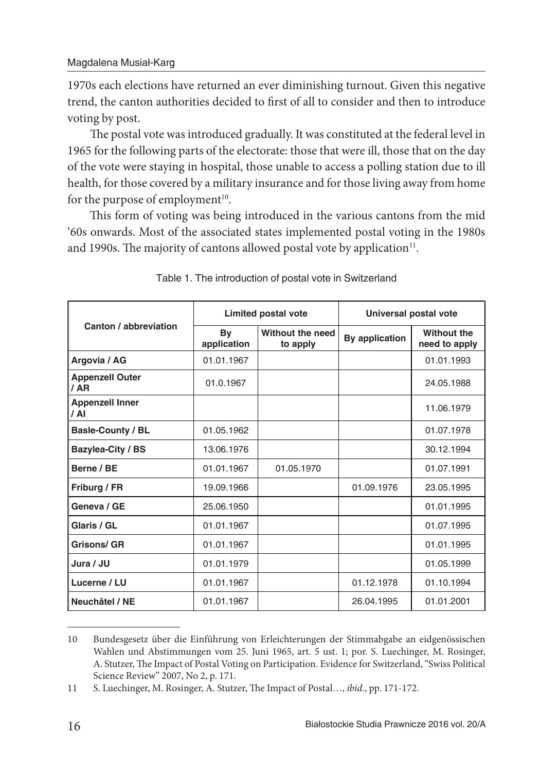1970s each elections have returned an ever diminishing turnout. Given this negative trend, the canton authorities decided to first of all to consider and then to introduce voting by post.

The postal vote was introduced gradually. It was constituted at the federal level in 1965 for the following parts of the electorate: those that were ill, those that on the day of the vote were staying in hospital, those unable to access a polling station due to ill health, for those covered by a military insurance and for those living away from home for the purpose of employment $10$ .

This form of voting was being introduced in the various cantons from the mid '60s onwards. Most of the associated states implemented postal voting in the 1980s and 1990s. The majority of cantons allowed postal vote by application<sup>11</sup>.

| Canton / abbreviation                    | Limited postal vote |                              | Universal postal vote |                              |
|------------------------------------------|---------------------|------------------------------|-----------------------|------------------------------|
|                                          | By<br>application   | Without the need<br>to apply | By application        | Without the<br>need to apply |
| Argovia / AG                             | 01.01.1967          |                              |                       | 01.01.1993                   |
| <b>Appenzell Outer</b><br>$/$ AR         | 01.0.1967           |                              |                       | 24.05.1988                   |
| <b>Appenzell Inner</b><br>$\overline{A}$ |                     |                              |                       | 11.06.1979                   |
| <b>Basle-County / BL</b>                 | 01.05.1962          |                              |                       | 01.07.1978                   |
| Bazylea-City / BS                        | 13.06.1976          |                              |                       | 30.12.1994                   |
| Berne / BE                               | 01.01.1967          | 01.05.1970                   |                       | 01.07.1991                   |
| Friburg / FR                             | 19.09.1966          |                              | 01.09.1976            | 23.05.1995                   |
| Geneva / GE                              | 25.06.1950          |                              |                       | 01.01.1995                   |
| Glaris / GL                              | 01.01.1967          |                              |                       | 01.07.1995                   |
| <b>Grisons/ GR</b>                       | 01.01.1967          |                              |                       | 01.01.1995                   |
| Jura / JU                                | 01.01.1979          |                              |                       | 01.05.1999                   |
| Lucerne / LU                             | 01.01.1967          |                              | 01.12.1978            | 01.10.1994                   |
| Neuchâtel / NE                           | 01.01.1967          |                              | 26.04.1995            | 01.01.2001                   |

Table 1. The introduction of postal vote in Switzerland

<sup>10</sup> Bundesgesetz über die Einführung von Erleichterungen der Stimmabgabe an eidgenössischen Wahlen und Abstimmungen vom 25. Juni 1965, art. 5 ust. 1; por. S. Luechinger, M. Rosinger, A. Stutzer, The Impact of Postal Voting on Participation. Evidence for Switzerland, "Swiss Political Science Review" 2007, No 2, p. 171.

<sup>11</sup> S. Luechinger, M. Rosinger, A. Stutzer, The Impact of Postal..., *ibid.*, pp. 171-172.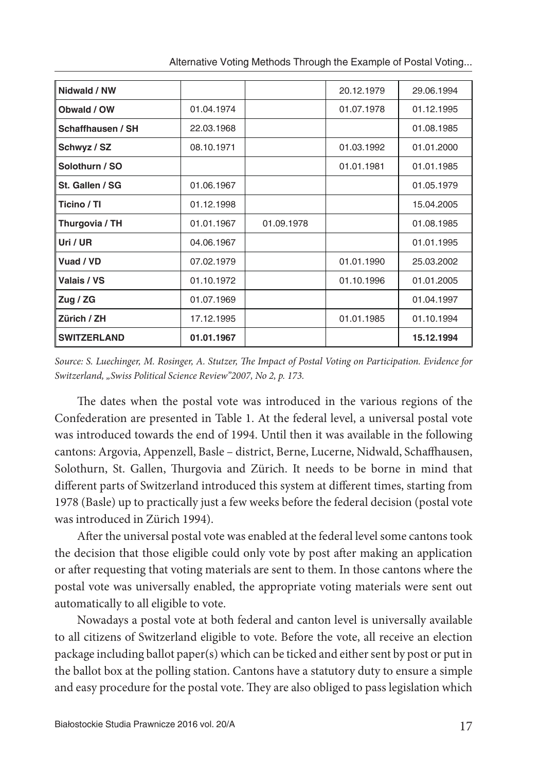| Nidwald / NW       |            |            | 20.12.1979 | 29.06.1994 |
|--------------------|------------|------------|------------|------------|
| Obwald / OW        | 01.04.1974 |            | 01.07.1978 | 01.12.1995 |
| Schaffhausen / SH  | 22.03.1968 |            |            | 01.08.1985 |
| Schwyz / SZ        | 08.10.1971 |            | 01.03.1992 | 01.01.2000 |
| Solothurn / SO     |            |            | 01.01.1981 | 01.01.1985 |
| St. Gallen / SG    | 01.06.1967 |            |            | 01.05.1979 |
| Ticino / Tl        | 01.12.1998 |            |            | 15.04.2005 |
| Thurgovia / TH     | 01.01.1967 | 01.09.1978 |            | 01.08.1985 |
| Uri / UR           | 04.06.1967 |            |            | 01.01.1995 |
| Vuad / VD          | 07.02.1979 |            | 01.01.1990 | 25.03.2002 |
| Valais / VS        | 01.10.1972 |            | 01.10.1996 | 01.01.2005 |
| Zug / $ZG$         | 01.07.1969 |            |            | 01.04.1997 |
| Zürich / ZH        | 17.12.1995 |            | 01.01.1985 | 01.10.1994 |
| <b>SWITZERLAND</b> | 01.01.1967 |            |            | 15.12.1994 |

Alternative Voting Methods Through the Example of Postal Voting...

Source: S. Luechinger, M. Rosinger, A. Stutzer, The Impact of Postal Voting on Participation. Evidence for Switzerland, "Swiss Political Science Review"2007, No 2, p. 173.

The dates when the postal vote was introduced in the various regions of the Confederation are presented in Table 1. At the federal level, a universal postal vote was introduced towards the end of 1994. Until then it was available in the following cantons: Argovia, Appenzell, Basle – district, Berne, Lucerne, Nidwald, Schaffhausen, Solothurn, St. Gallen, Thurgovia and Zürich. It needs to be borne in mind that different parts of Switzerland introduced this system at different times, starting from 1978 (Basle) up to practically just a few weeks before the federal decision (postal vote was introduced in Zürich 1994).

After the universal postal vote was enabled at the federal level some cantons took the decision that those eligible could only vote by post after making an application or after requesting that voting materials are sent to them. In those cantons where the postal vote was universally enabled, the appropriate voting materials were sent out automatically to all eligible to vote.

Nowadays a postal vote at both federal and canton level is universally available to all citizens of Switzerland eligible to vote. Before the vote, all receive an election package including ballot paper(s) which can be ticked and either sent by post or put in the ballot box at the polling station. Cantons have a statutory duty to ensure a simple and easy procedure for the postal vote. They are also obliged to pass legislation which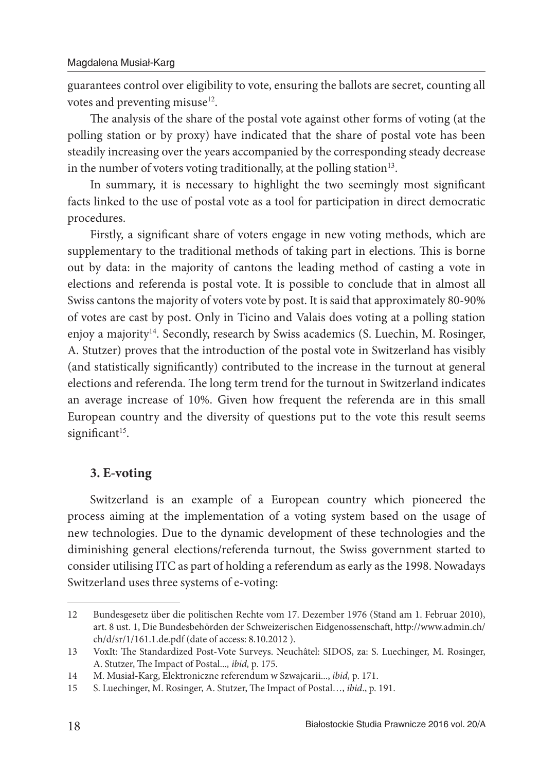guarantees control over eligibility to vote, ensuring the ballots are secret, counting all votes and preventing misuse<sup>12</sup>.

The analysis of the share of the postal vote against other forms of voting (at the polling station or by proxy) have indicated that the share of postal vote has been steadily increasing over the years accompanied by the corresponding steady decrease in the number of voters voting traditionally, at the polling station $13$ .

In summary, it is necessary to highlight the two seemingly most significant facts linked to the use of postal vote as a tool for participation in direct democratic procedures.

Firstly, a significant share of voters engage in new voting methods, which are supplementary to the traditional methods of taking part in elections. This is borne out by data: in the majority of cantons the leading method of casting a vote in elections and referenda is postal vote. It is possible to conclude that in almost all Swiss cantons the majority of voters vote by post. It is said that approximately 80-90% of votes are cast by post. Only in Ticino and Valais does voting at a polling station enjoy a majority<sup>14</sup>. Secondly, research by Swiss academics (S. Luechin, M. Rosinger, A. Stutzer) proves that the introduction of the postal vote in Switzerland has visibly (and statistically significantly) contributed to the increase in the turnout at general elections and referenda. The long term trend for the turnout in Switzerland indicates an average increase of 10%. Given how frequent the referenda are in this small European country and the diversity of questions put to the vote this result seems significant $15$ .

## **3. E-voting**

Switzerland is an example of a European country which pioneered the process aiming at the implementation of a voting system based on the usage of new technologies. Due to the dynamic development of these technologies and the diminishing general elections/referenda turnout, the Swiss government started to consider utilising ITC as part of holding a referendum as early as the 1998. Nowadays Switzerland uses three systems of e-voting:

<sup>12</sup> Bundesgesetz über die politischen Rechte vom 17. Dezember 1976 (Stand am 1. Februar 2010), art. 8 ust. 1, Die Bundesbehörden der Schweizerischen Eidgenossenschaft, http://www.admin.ch/ ch/d/sr/1/161.1.de.pdf (date of access: 8.10.2012 ).

<sup>13</sup> VoxIt: The Standardized Post-Vote Surveys. Neuchâtel: SIDOS, za: S. Luechinger, M. Rosinger, A. Stutzer, The Impact of Postal..., ibid, p. 175.

<sup>14</sup> M. Musiał-Karg, Elektroniczne referendum w Szwajcarii..., ibid, p. 171.

<sup>15</sup> S. Luechinger, M. Rosinger, A. Stutzer, The Impact of Postal..., *ibid.*, p. 191.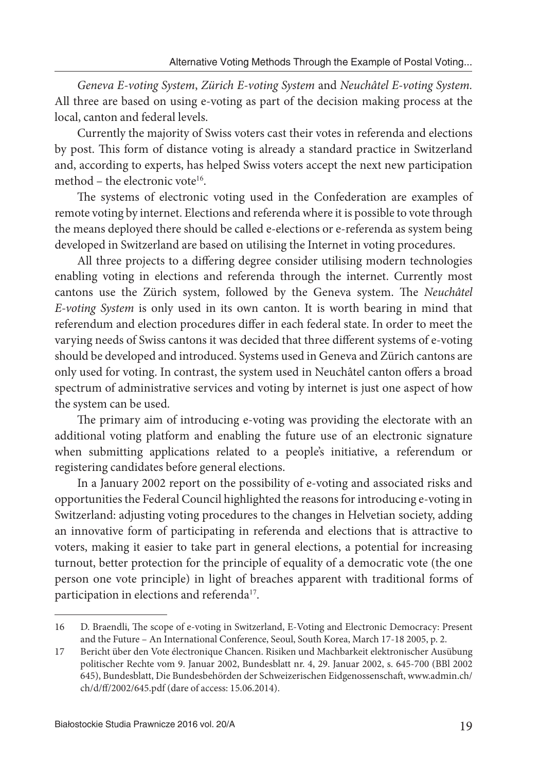Geneva E-voting System, Zürich E-voting System and Neuchâtel E-voting System. All three are based on using e-voting as part of the decision making process at the local, canton and federal levels.

Currently the majority of Swiss voters cast their votes in referenda and elections by post. This form of distance voting is already a standard practice in Switzerland and, according to experts, has helped Swiss voters accept the next new participation method – the electronic vote<sup>16</sup>.

The systems of electronic voting used in the Confederation are examples of remote voting by internet. Elections and referenda where it is possible to vote through the means deployed there should be called e-elections or e-referenda as system being developed in Switzerland are based on utilising the Internet in voting procedures.

All three projects to a differing degree consider utilising modern technologies enabling voting in elections and referenda through the internet. Currently most cantons use the Zürich system, followed by the Geneva system. The Neuchâtel E-voting System is only used in its own canton. It is worth bearing in mind that referendum and election procedures differ in each federal state. In order to meet the varying needs of Swiss cantons it was decided that three different systems of e-voting should be developed and introduced. Systems used in Geneva and Zürich cantons are only used for voting. In contrast, the system used in Neuchâtel canton offers a broad spectrum of administrative services and voting by internet is just one aspect of how the system can be used.

The primary aim of introducing e-voting was providing the electorate with an additional voting platform and enabling the future use of an electronic signature when submitting applications related to a people's initiative, a referendum or registering candidates before general elections.

In a January 2002 report on the possibility of e-voting and associated risks and opportunities the Federal Council highlighted the reasons for introducing e-voting in Switzerland: adjusting voting procedures to the changes in Helvetian society, adding an innovative form of participating in referenda and elections that is attractive to voters, making it easier to take part in general elections, a potential for increasing turnout, better protection for the principle of equality of a democratic vote (the one person one vote principle) in light of breaches apparent with traditional forms of participation in elections and referenda<sup>17</sup>.

<sup>16</sup> D. Braendli, The scope of e-voting in Switzerland, E-Voting and Electronic Democracy: Present and the Future – An International Conference, Seoul, South Korea, March 17-18 2005, p. 2.

<sup>17</sup> Bericht über den Vote électronique Chancen. Risiken und Machbarkeit elektronischer Ausübung politischer Rechte vom 9. Januar 2002, Bundesblatt nr. 4, 29. Januar 2002, s. 645-700 (BBl 2002 645), Bundesblatt, Die Bundesbehörden der Schweizerischen Eidgenossenschaft, www.admin.ch/ ch/d/ff /2002/645.pdf (dare of access: 15.06.2014).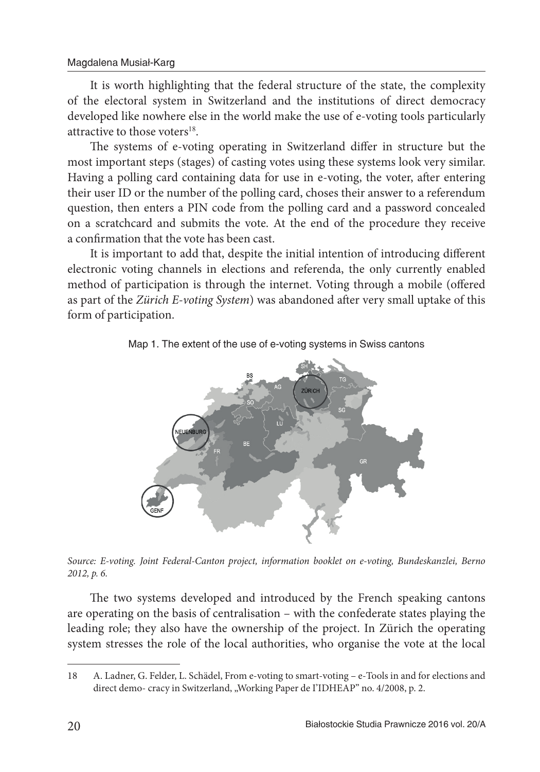It is worth highlighting that the federal structure of the state, the complexity of the electoral system in Switzerland and the institutions of direct democracy developed like nowhere else in the world make the use of e-voting tools particularly attractive to those voters<sup>18</sup>.

The systems of e-voting operating in Switzerland differ in structure but the most important steps (stages) of casting votes using these systems look very similar. Having a polling card containing data for use in e-voting, the voter, after entering their user ID or the number of the polling card, choses their answer to a referendum question, then enters a PIN code from the polling card and a password concealed on a scratchcard and submits the vote. At the end of the procedure they receive a confirmation that the vote has been cast.

It is important to add that, despite the initial intention of introducing different electronic voting channels in elections and referenda, the only currently enabled method of participation is through the internet. Voting through a mobile (offered as part of the Zürich E-voting System) was abandoned after very small uptake of this form of participation.



Map 1. The extent of the use of e-voting systems in Swiss cantons

Source: E-voting. Joint Federal-Canton project, information booklet on e-voting, Bundeskanzlei, Berno 2012, p. 6.

The two systems developed and introduced by the French speaking cantons are operating on the basis of centralisation – with the confederate states playing the leading role; they also have the ownership of the project. In Zürich the operating system stresses the role of the local authorities, who organise the vote at the local

<sup>18</sup> A. Ladner, G. Felder, L. Schädel, From e-voting to smart-voting – e-Tools in and for elections and direct demo- cracy in Switzerland, "Working Paper de I'IDHEAP" no. 4/2008, p. 2.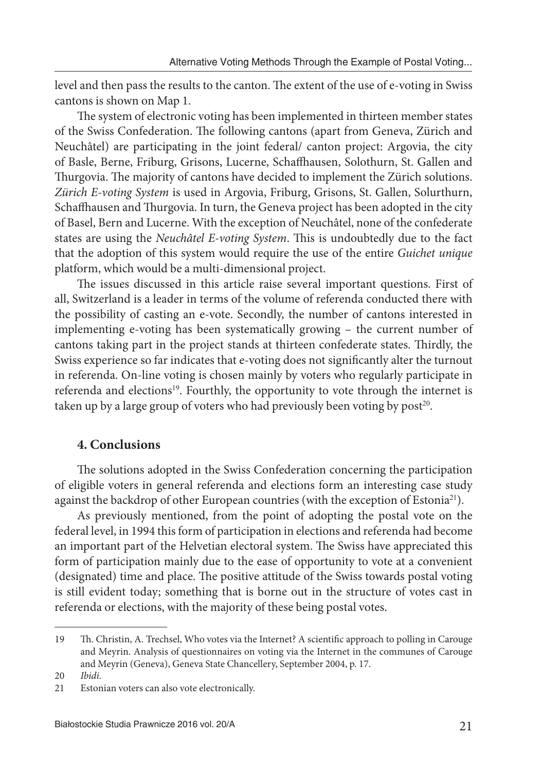level and then pass the results to the canton. The extent of the use of e-voting in Swiss cantons is shown on Map 1.

The system of electronic voting has been implemented in thirteen member states of the Swiss Confederation. The following cantons (apart from Geneva, Zürich and Neuchâtel) are participating in the joint federal/ canton project: Argovia, the city of Basle, Berne, Friburg, Grisons, Lucerne, Schaffhausen, Solothurn, St. Gallen and Thurgovia. The majority of cantons have decided to implement the Zürich solutions. Zürich E-voting System is used in Argovia, Friburg, Grisons, St. Gallen, Solurthurn, Schaffhausen and Thurgovia. In turn, the Geneva project has been adopted in the city of Basel, Bern and Lucerne. With the exception of Neuchâtel, none of the confederate states are using the Neuchâtel E-voting System. This is undoubtedly due to the fact that the adoption of this system would require the use of the entire Guichet unique platform, which would be a multi-dimensional project.

The issues discussed in this article raise several important questions. First of all, Switzerland is a leader in terms of the volume of referenda conducted there with the possibility of casting an e-vote. Secondly, the number of cantons interested in implementing e-voting has been systematically growing – the current number of cantons taking part in the project stands at thirteen confederate states. Thirdly, the Swiss experience so far indicates that e-voting does not significantly alter the turnout in referenda. On-line voting is chosen mainly by voters who regularly participate in referenda and elections<sup>19</sup>. Fourthly, the opportunity to vote through the internet is taken up by a large group of voters who had previously been voting by post<sup>20</sup>.

## **4. Conclusions**

The solutions adopted in the Swiss Confederation concerning the participation of eligible voters in general referenda and elections form an interesting case study against the backdrop of other European countries (with the exception of Estonia<sup>21</sup>).

As previously mentioned, from the point of adopting the postal vote on the federal level, in 1994 this form of participation in elections and referenda had become an important part of the Helvetian electoral system. The Swiss have appreciated this form of participation mainly due to the ease of opportunity to vote at a convenient (designated) time and place. The positive attitude of the Swiss towards postal voting is still evident today; something that is borne out in the structure of votes cast in referenda or elections, with the majority of these being postal votes.

<sup>19</sup> Th. Christin, A. Trechsel, Who votes via the Internet? A scientific approach to polling in Carouge and Meyrin. Analysis of questionnaires on voting via the Internet in the communes of Carouge and Meyrin (Geneva), Geneva State Chancellery, September 2004, p. 17.

<sup>20</sup> Ibidi.

<sup>21</sup> Estonian voters can also vote electronically.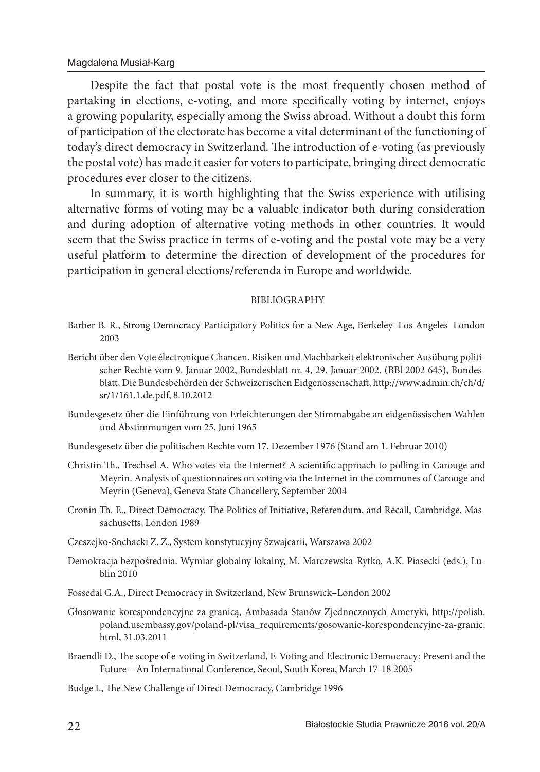Despite the fact that postal vote is the most frequently chosen method of partaking in elections, e-voting, and more specifically voting by internet, enjoys a growing popularity, especially among the Swiss abroad. Without a doubt this form of participation of the electorate has become a vital determinant of the functioning of today's direct democracy in Switzerland. The introduction of e-voting (as previously the postal vote) has made it easier for voters to participate, bringing direct democratic procedures ever closer to the citizens.

In summary, it is worth highlighting that the Swiss experience with utilising alternative forms of voting may be a valuable indicator both during consideration and during adoption of alternative voting methods in other countries. It would seem that the Swiss practice in terms of e-voting and the postal vote may be a very useful platform to determine the direction of development of the procedures for participation in general elections/referenda in Europe and worldwide.

#### BIBLIOGRAPHY

- Barber B. R., Strong Democracy Participatory Politics for a New Age, Berkeley–Los Angeles–London 2003
- Bericht über den Vote électronique Chancen. Risiken und Machbarkeit elektronischer Ausübung politischer Rechte vom 9. Januar 2002, Bundesblatt nr. 4, 29. Januar 2002, (BBl 2002 645), Bundesblatt, Die Bundesbehörden der Schweizerischen Eidgenossenschaft, http://www.admin.ch/ch/d/ sr/1/161.1.de.pdf, 8.10.2012
- Bundesgesetz über die Einführung von Erleichterungen der Stimmabgabe an eidgenössischen Wahlen und Abstimmungen vom 25. Juni 1965
- Bundesgesetz über die politischen Rechte vom 17. Dezember 1976 (Stand am 1. Februar 2010)
- Christin Th., Trechsel A, Who votes via the Internet? A scientific approach to polling in Carouge and Meyrin. Analysis of questionnaires on voting via the Internet in the communes of Carouge and Meyrin (Geneva), Geneva State Chancellery, September 2004
- Cronin Th. E., Direct Democracy. The Politics of Initiative, Referendum, and Recall, Cambridge, Massachusetts, London 1989
- Czeszejko-Sochacki Z. Z., System konstytucyjny Szwajcarii, Warszawa 2002
- Demokracja bezpośrednia. Wymiar globalny lokalny, M. Marczewska-Rytko, A.K. Piasecki (eds.), Lublin 2010
- Fossedal G.A., Direct Democracy in Switzerland, New Brunswick–London 2002
- Głosowanie korespondencyjne za granicą, Ambasada Stanów Zjednoczonych Ameryki, http://polish. poland.usembassy.gov/poland-pl/visa\_requirements/gosowanie-korespondencyjne-za-granic. html, 31.03.2011
- Braendli D., The scope of e-voting in Switzerland, E-Voting and Electronic Democracy: Present and the Future – An International Conference, Seoul, South Korea, March 17-18 2005
- Budge I., The New Challenge of Direct Democracy, Cambridge 1996